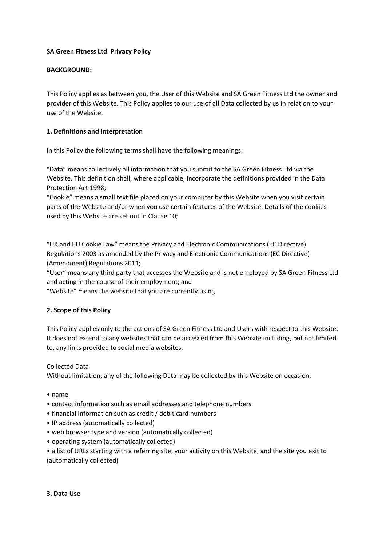# **SA Green Fitness Ltd Privacy Policy**

## **BACKGROUND:**

This Policy applies as between you, the User of this Website and SA Green Fitness Ltd the owner and provider of this Website. This Policy applies to our use of all Data collected by us in relation to your use of the Website.

## **1. Definitions and Interpretation**

In this Policy the following terms shall have the following meanings:

"Data" means collectively all information that you submit to the SA Green Fitness Ltd via the Website. This definition shall, where applicable, incorporate the definitions provided in the Data Protection Act 1998;

"Cookie" means a small text file placed on your computer by this Website when you visit certain parts of the Website and/or when you use certain features of the Website. Details of the cookies used by this Website are set out in Clause 10;

"UK and EU Cookie Law" means the Privacy and Electronic Communications (EC Directive) Regulations 2003 as amended by the Privacy and Electronic Communications (EC Directive) (Amendment) Regulations 2011;

"User" means any third party that accesses the Website and is not employed by SA Green Fitness Ltd and acting in the course of their employment; and

"Website" means the website that you are currently using

# **2. Scope of this Policy**

This Policy applies only to the actions of SA Green Fitness Ltd and Users with respect to this Website. It does not extend to any websites that can be accessed from this Website including, but not limited to, any links provided to social media websites.

## Collected Data

Without limitation, any of the following Data may be collected by this Website on occasion:

- name
- contact information such as email addresses and telephone numbers
- financial information such as credit / debit card numbers
- IP address (automatically collected)
- web browser type and version (automatically collected)
- operating system (automatically collected)

• a list of URLs starting with a referring site, your activity on this Website, and the site you exit to (automatically collected)

#### **3. Data Use**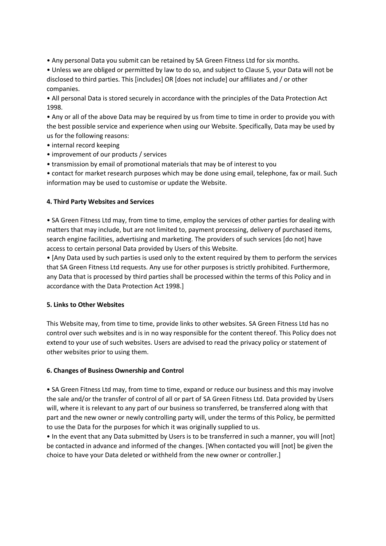• Any personal Data you submit can be retained by SA Green Fitness Ltd for six months.

• Unless we are obliged or permitted by law to do so, and subject to Clause 5, your Data will not be disclosed to third parties. This [includes] OR [does not include] our affiliates and / or other companies.

• All personal Data is stored securely in accordance with the principles of the Data Protection Act 1998.

• Any or all of the above Data may be required by us from time to time in order to provide you with the best possible service and experience when using our Website. Specifically, Data may be used by us for the following reasons:

- internal record keeping
- improvement of our products / services
- transmission by email of promotional materials that may be of interest to you

• contact for market research purposes which may be done using email, telephone, fax or mail. Such information may be used to customise or update the Website.

## **4. Third Party Websites and Services**

• SA Green Fitness Ltd may, from time to time, employ the services of other parties for dealing with matters that may include, but are not limited to, payment processing, delivery of purchased items, search engine facilities, advertising and marketing. The providers of such services [do not] have access to certain personal Data provided by Users of this Website.

• [Any Data used by such parties is used only to the extent required by them to perform the services that SA Green Fitness Ltd requests. Any use for other purposes is strictly prohibited. Furthermore, any Data that is processed by third parties shall be processed within the terms of this Policy and in accordance with the Data Protection Act 1998.]

## **5. Links to Other Websites**

This Website may, from time to time, provide links to other websites. SA Green Fitness Ltd has no control over such websites and is in no way responsible for the content thereof. This Policy does not extend to your use of such websites. Users are advised to read the privacy policy or statement of other websites prior to using them.

## **6. Changes of Business Ownership and Control**

• SA Green Fitness Ltd may, from time to time, expand or reduce our business and this may involve the sale and/or the transfer of control of all or part of SA Green Fitness Ltd. Data provided by Users will, where it is relevant to any part of our business so transferred, be transferred along with that part and the new owner or newly controlling party will, under the terms of this Policy, be permitted to use the Data for the purposes for which it was originally supplied to us.

• In the event that any Data submitted by Users is to be transferred in such a manner, you will [not] be contacted in advance and informed of the changes. [When contacted you will [not] be given the choice to have your Data deleted or withheld from the new owner or controller.]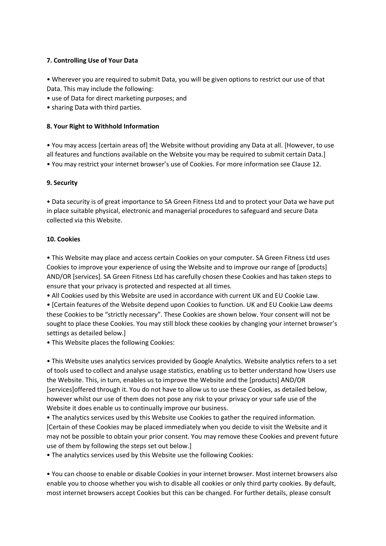# **7. Controlling Use of Your Data**

• Wherever you are required to submit Data, you will be given options to restrict our use of that Data. This may include the following:

• use of Data for direct marketing purposes; and

• sharing Data with third parties.

## **8. Your Right to Withhold Information**

• You may access [certain areas of] the Website without providing any Data at all. [However, to use all features and functions available on the Website you may be required to submit certain Data.] • You may restrict your internet browser's use of Cookies. For more information see Clause 12.

## **9. Security**

• Data security is of great importance to SA Green Fitness Ltd and to protect your Data we have put in place suitable physical, electronic and managerial procedures to safeguard and secure Data collected via this Website.

## **10. Cookies**

• This Website may place and access certain Cookies on your computer. SA Green Fitness Ltd uses Cookies to improve your experience of using the Website and to improve our range of [products] AND/OR [services]. SA Green Fitness Ltd has carefully chosen these Cookies and has taken steps to ensure that your privacy is protected and respected at all times.

• All Cookies used by this Website are used in accordance with current UK and EU Cookie Law.

• [Certain features of the Website depend upon Cookies to function. UK and EU Cookie Law deems these Cookies to be "strictly necessary". These Cookies are shown below. Your consent will not be sought to place these Cookies. You may still block these cookies by changing your internet browser's settings as detailed below.]

• This Website places the following Cookies:

• This Website uses analytics services provided by Google Analytics. Website analytics refers to a set of tools used to collect and analyse usage statistics, enabling us to better understand how Users use the Website. This, in turn, enables us to improve the Website and the [products] AND/OR [services]offered through it. You do not have to allow us to use these Cookies, as detailed below, however whilst our use of them does not pose any risk to your privacy or your safe use of the Website it does enable us to continually improve our business.

• The analytics services used by this Website use Cookies to gather the required information. [Certain of these Cookies may be placed immediately when you decide to visit the Website and it may not be possible to obtain your prior consent. You may remove these Cookies and prevent future use of them by following the steps set out below.]

• The analytics services used by this Website use the following Cookies:

• You can choose to enable or disable Cookies in your internet browser. Most internet browsers also enable you to choose whether you wish to disable all cookies or only third party cookies. By default, most internet browsers accept Cookies but this can be changed. For further details, please consult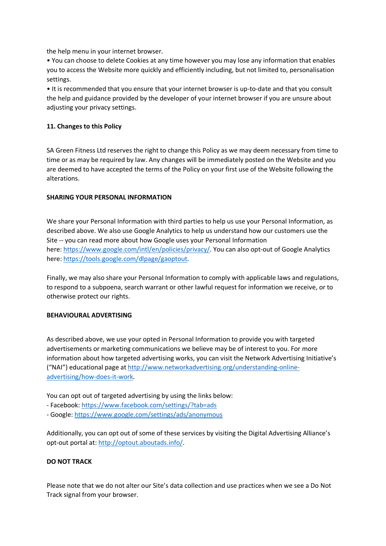the help menu in your internet browser.

• You can choose to delete Cookies at any time however you may lose any information that enables you to access the Website more quickly and efficiently including, but not limited to, personalisation settings.

• It is recommended that you ensure that your internet browser is up-to-date and that you consult the help and guidance provided by the developer of your internet browser if you are unsure about adjusting your privacy settings.

## **11. Changes to this Policy**

SA Green Fitness Ltd reserves the right to change this Policy as we may deem necessary from time to time or as may be required by law. Any changes will be immediately posted on the Website and you are deemed to have accepted the terms of the Policy on your first use of the Website following the alterations.

## **SHARING YOUR PERSONAL INFORMATION**

We share your Personal Information with third parties to help us use your Personal Information, as described above. We also use Google Analytics to help us understand how our customers use the Site -- you can read more about how Google uses your Personal Information here: [https://www.google.com/intl/en/policies/privacy/.](about:blank) You can also opt-out of Google Analytics here: [https://tools.google.com/dlpage/gaoptout.](about:blank)

Finally, we may also share your Personal Information to comply with applicable laws and regulations, to respond to a subpoena, search warrant or other lawful request for information we receive, or to otherwise protect our rights.

# **BEHAVIOURAL ADVERTISING**

As described above, we use your opted in Personal Information to provide you with targeted advertisements or marketing communications we believe may be of interest to you. For more information about how targeted advertising works, you can visit the Network Advertising Initiative's ("NAI") educational page at [http://www.networkadvertising.org/understanding-online](about:blank)[advertising/how-does-it-work.](about:blank)

You can opt out of targeted advertising by using the links below:

- Facebook: [https://www.facebook.com/settings/?tab=ads](about:blank)
- Google: [https://www.google.com/settings/ads/anonymous](about:blank)

Additionally, you can opt out of some of these services by visiting the Digital Advertising Alliance's opt-out portal at: [http://optout.aboutads.info/.](about:blank)

# **DO NOT TRACK**

Please note that we do not alter our Site's data collection and use practices when we see a Do Not Track signal from your browser.